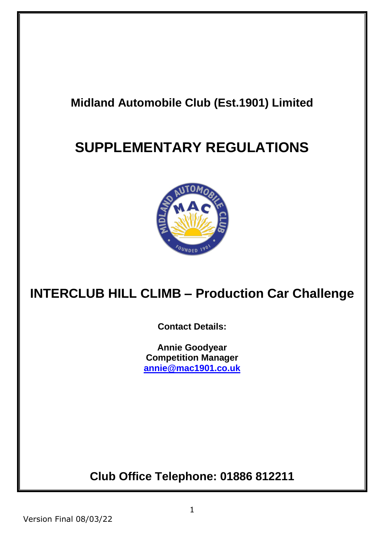## **Midland Automobile Club (Est.1901) Limited**

# **SUPPLEMENTARY REGULATIONS**



# **INTERCLUB HILL CLIMB – Production Car Challenge**

**Contact Details:**

**Annie Goodyear Competition Manager [annie@mac1901.co.uk](mailto:annie@mac1901.co.uk)**

**Club Office Telephone: 01886 812211**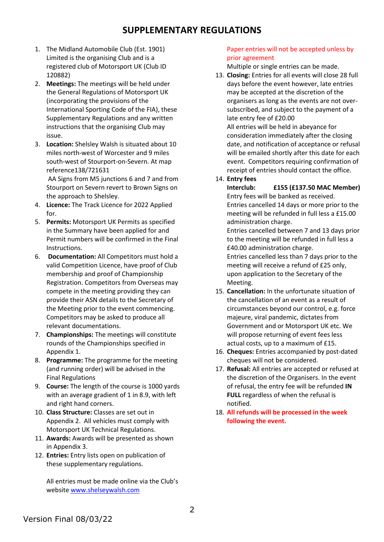### **SUPPLEMENTARY REGULATIONS**

- 1. The Midland Automobile Club (Est. 1901) Limited is the organising Club and is a registered club of Motorsport UK (Club ID 120882)
- 2. **Meetings:** The meetings will be held under the General Regulations of Motorsport UK (incorporating the provisions of the International Sporting Code of the FIA), these Supplementary Regulations and any written instructions that the organising Club may issue.
- 3. **Location:** Shelsley Walsh is situated about 10 miles north-west of Worcester and 9 miles south-west of Stourport-on-Severn. At map reference138/721631

AA Signs from M5 junctions 6 and 7 and from Stourport on Severn revert to Brown Signs on the approach to Shelsley.

- 4. **Licence:** The Track Licence for 2022 Applied for.
- 5. **Permits:** Motorsport UK Permits as specified in the Summary have been applied for and Permit numbers will be confirmed in the Final Instructions.
- 6. **Documentation:** All Competitors must hold a valid Competition Licence, have proof of Club membership and proof of Championship Registration. Competitors from Overseas may compete in the meeting providing they can provide their ASN details to the Secretary of the Meeting prior to the event commencing. Competitors may be asked to produce all relevant documentations.
- 7. **Championships:** The meetings will constitute rounds of the Championships specified in Appendix 1.
- 8. **Programme:** The programme for the meeting (and running order) will be advised in the Final Regulations
- 9. **Course:** The length of the course is 1000 yards with an average gradient of 1 in 8.9, with left and right hand corners.
- 10. **Class Structure:** Classes are set out in Appendix 2. All vehicles must comply with Motorsport UK Technical Regulations.
- 11. **Awards:** Awards will be presented as shown in Appendix 3.
- 12. **Entries:** Entry lists open on publication of these supplementary regulations.

All entries must be made online via the Club's websit[e www.shelseywalsh.com](http://www.shelseywalsh.com/)

### Paper entries will not be accepted unless by prior agreement

Multiple or single entries can be made.

- 13. **Closing:** Entries for all events will close 28 full days before the event however, late entries may be accepted at the discretion of the organisers as long as the events are not oversubscribed, and subject to the payment of a late entry fee of £20.00 All entries will be held in abeyance for consideration immediately after the closing date, and notification of acceptance or refusal will be emailed shortly after this date for each event. Competitors requiring confirmation of receipt of entries should contact the office.
- 14. **Entry fees**

**Interclub: £155 (£137.50 MAC Member)** Entry fees will be banked as received. Entries cancelled 14 days or more prior to the meeting will be refunded in full less a £15.00 administration charge.

Entries cancelled between 7 and 13 days prior to the meeting will be refunded in full less a £40.00 administration charge.

Entries cancelled less than 7 days prior to the meeting will receive a refund of £25 only, upon application to the Secretary of the Meeting.

- 15. **Cancellation:** In the unfortunate situation of the cancellation of an event as a result of circumstances beyond our control, e.g. force majeure, viral pandemic, dictates from Government and or Motorsport UK etc. We will propose returning of event fees less actual costs, up to a maximum of £15.
- 16. **Cheques:** Entries accompanied by post-dated cheques will not be considered.
- 17. **Refusal:** All entries are accepted or refused at the discretion of the Organisers. In the event of refusal, the entry fee will be refunded **IN FULL** regardless of when the refusal is notified.
- 18. **All refunds will be processed in the week following the event.**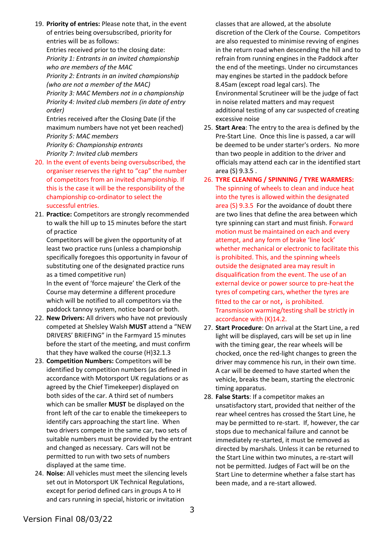19. **Priority of entries:** Please note that, in the event of entries being oversubscribed, priority for entries will be as follows:

Entries received prior to the closing date: *Priority 1: Entrants in an invited championship who are members of the MAC*

*Priority 2: Entrants in an invited championship (who are not a member of the MAC)*

*Priority 3: MAC Members not in a championship Priority 4: Invited club members (in date of entry order)*

Entries received after the Closing Date (if the maximum numbers have not yet been reached) *Priority 5: MAC members Priority 6: Championship entrants*

*Priority 7: Invited club members*

- 20. In the event of events being oversubscribed, the organiser reserves the right to "cap" the number of competitors from an invited championship. If this is the case it will be the responsibility of the championship co-ordinator to select the successful entries.
- 21. **Practice:** Competitors are strongly recommended to walk the hill up to 15 minutes before the start of practice

Competitors will be given the opportunity of at least two practice runs (unless a championship specifically foregoes this opportunity in favour of substituting one of the designated practice runs as a timed competitive run)

In the event of 'force majeure' the Clerk of the Course may determine a different procedure which will be notified to all competitors via the paddock tannoy system, notice board or both.

- 22. **New Drivers:** All drivers who have not previously competed at Shelsley Walsh **MUST** attend a "NEW DRIVERS' BRIEFING" in the Farmyard 15 minutes before the start of the meeting, and must confirm that they have walked the course (H)32.1.3
- 23. **Competition Numbers:** Competitors will be identified by competition numbers (as defined in accordance with Motorsport UK regulations or as agreed by the Chief Timekeeper) displayed on both sides of the car. A third set of numbers which can be smaller **MUST** be displayed on the front left of the car to enable the timekeepers to identify cars approaching the start line. When two drivers compete in the same car, two sets of suitable numbers must be provided by the entrant and changed as necessary. Cars will not be permitted to run with two sets of numbers displayed at the same time.
- 24. **Noise**: All vehicles must meet the silencing levels set out in Motorsport UK Technical Regulations, except for period defined cars in groups A to H and cars running in special, historic or invitation

classes that are allowed, at the absolute discretion of the Clerk of the Course. Competitors are also requested to minimise revving of engines in the return road when descending the hill and to refrain from running engines in the Paddock after the end of the meetings. Under no circumstances may engines be started in the paddock before 8.45am (except road legal cars). The Environmental Scrutineer will be the judge of fact in noise related matters and may request additional testing of any car suspected of creating excessive noise

- 25. **Start Area**: The entry to the area is defined by the Pre-Start Line. Once this line is passed, a car will be deemed to be under starter's orders. No more than two people in addition to the driver and officials may attend each car in the identified start area (S) 9.3.5 .
- 26. **TYRE CLEANING / SPINNING / TYRE WARMERS:** The spinning of wheels to clean and induce heat into the tyres is allowed within the designated area (S) 9.3.5 For the avoidance of doubt there are two lines that define the area between which tyre spinning can start and must finish. Forward motion must be maintained on each and every attempt, and any form of brake 'line lock' whether mechanical or electronic to facilitate this is prohibited. This, and the spinning wheels outside the designated area may result in disqualification from the event. The use of an external device or power source to pre-heat the tyres of competing cars, whether the tyres are fitted to the car or not, is prohibited. Transmission warming/testing shall be strictly in accordance with (K)14.2.
- 27. **Start Procedure**: On arrival at the Start Line, a red light will be displayed, cars will be set up in line with the timing gear, the rear wheels will be chocked, once the red-light changes to green the driver may commence his run, in their own time. A car will be deemed to have started when the vehicle, breaks the beam, starting the electronic timing apparatus.
- 28. **False Starts**: If a competitor makes an unsatisfactory start, provided that neither of the rear wheel centres has crossed the Start Line, he may be permitted to re-start. If, however, the car stops due to mechanical failure and cannot be immediately re-started, it must be removed as directed by marshals. Unless it can be returned to the Start Line within two minutes, a re-start will not be permitted. Judges of Fact will be on the Start Line to determine whether a false start has been made, and a re-start allowed.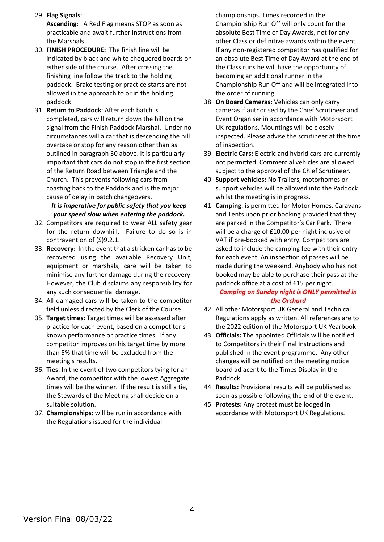29. **Flag Signals**:

**Ascending:** A Red Flag means STOP as soon as practicable and await further instructions from the Marshals.

- 30. **FINISH PROCEDURE:** The finish line will be indicated by black and white chequered boards on either side of the course. After crossing the finishing line follow the track to the holding paddock. Brake testing or practice starts are not allowed in the approach to or in the holding paddock
- 31. **Return to Paddock**: After each batch is completed, cars will return down the hill on the signal from the Finish Paddock Marshal. Under no circumstances will a car that is descending the hill overtake or stop for any reason other than as outlined in paragraph 30 above. It is particularly important that cars do not stop in the first section of the Return Road between Triangle and the Church. This prevents following cars from coasting back to the Paddock and is the major cause of delay in batch changeovers.

#### *It is imperative for public safety that you keep your speed slow when entering the paddock.*

- 32. Competitors are required to wear ALL safety gear for the return downhill. Failure to do so is in contravention of (S)9.2.1.
- 33. **Recovery:** In the event that a stricken car has to be recovered using the available Recovery Unit, equipment or marshals, care will be taken to minimise any further damage during the recovery. However, the Club disclaims any responsibility for any such consequential damage.
- 34. All damaged cars will be taken to the competitor field unless directed by the Clerk of the Course.
- 35. **Target times**: Target times will be assessed after practice for each event, based on a competitor's known performance or practice times. If any competitor improves on his target time by more than 5% that time will be excluded from the meeting's results.
- 36. **Ties**: In the event of two competitors tying for an Award, the competitor with the lowest Aggregate times will be the winner. If the result is still a tie, the Stewards of the Meeting shall decide on a suitable solution.
- 37. **Championships:** will be run in accordance with the Regulations issued for the individual

championships. Times recorded in the Championship Run Off will only count for the absolute Best Time of Day Awards, not for any other Class or definitive awards within the event. If any non-registered competitor has qualified for an absolute Best Time of Day Award at the end of the Class runs he will have the opportunity of becoming an additional runner in the Championship Run Off and will be integrated into the order of running.

- 38. **On Board Cameras:** Vehicles can only carry cameras if authorised by the Chief Scrutineer and Event Organiser in accordance with Motorsport UK regulations. Mountings will be closely inspected. Please advise the scrutineer at the time of inspection.
- 39. **Electric Cars:** Electric and hybrid cars are currently not permitted. Commercial vehicles are allowed subject to the approval of the Chief Scrutineer.
- 40. **Support vehicles:** No Trailers, motorhomes or support vehicles will be allowed into the Paddock whilst the meeting is in progress.
- 41. **Camping**: is permitted for Motor Homes, Caravans and Tents upon prior booking provided that they are parked in the Competitor's Car Park. There will be a charge of £10.00 per night inclusive of VAT if pre-booked with entry. Competitors are asked to include the camping fee with their entry for each event. An inspection of passes will be made during the weekend. Anybody who has not booked may be able to purchase their pass at the paddock office at a cost of £15 per night.

### *Camping on Sunday night is ONLY permitted in the Orchard*

- 42. All other Motorsport UK General and Technical Regulations apply as written. All references are to the 2022 edition of the Motorsport UK Yearbook
- 43. **Officials:** The appointed Officials will be notified to Competitors in their Final Instructions and published in the event programme. Any other changes will be notified on the meeting notice board adjacent to the Times Display in the Paddock.
- 44. **Results:** Provisional results will be published as soon as possible following the end of the event.
- 45. **Protests:** Any protest must be lodged in accordance with Motorsport UK Regulations.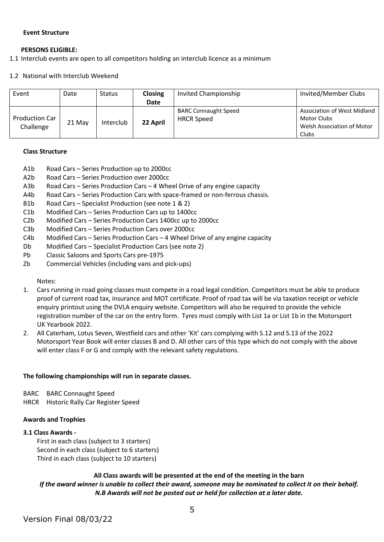#### **Event Structure**

#### **PERSONS ELIGIBLE:**

1.1 Interclub events are open to all competitors holding an interclub licence as a minimum

1.2 National with Interclub Weekend

| Event                              | Date   | <b>Status</b> | Closing  | Invited Championship                             | Invited/Member Clubs                                                              |
|------------------------------------|--------|---------------|----------|--------------------------------------------------|-----------------------------------------------------------------------------------|
|                                    |        |               | Date     |                                                  |                                                                                   |
| <b>Production Car</b><br>Challenge | 21 May | Interclub     | 22 April | <b>BARC Connaught Speed</b><br><b>HRCR Speed</b> | Association of West Midland<br>Motor Clubs<br>Welsh Association of Motor<br>Clubs |

#### **Class Structure**

- A1b Road Cars Series Production up to 2000cc
- A2b Road Cars Series Production over 2000cc
- A3b Road Cars Series Production Cars 4 Wheel Drive of any engine capacity
- A4b Road Cars Series Production Cars with space-framed or non-ferrous chassis.
- B1b Road Cars Specialist Production (see note 1 & 2)
- C1b Modified Cars Series Production Cars up to 1400cc
- C2b Modified Cars Series Production Cars 1400cc up to 2000cc
- C3b Modified Cars Series Production Cars over 2000cc
- C4b Modified Cars Series Production Cars 4 Wheel Drive of any engine capacity
- Db Modified Cars Specialist Production Cars (see note 2)
- Pb Classic Saloons and Sports Cars pre-1975
- Zb Commercial Vehicles (including vans and pick-ups)

Notes:

- 1. Cars running in road going classes must compete in a road legal condition. Competitors must be able to produce proof of current road tax, insurance and MOT certificate. Proof of road tax will be via taxation receipt or vehicle enquiry printout using the DVLA enquiry website. Competitors will also be required to provide the vehicle registration number of the car on the entry form. Tyres must comply with List 1a or List 1b in the Motorsport UK Yearbook 2022.
- 2. All Caterham, Lotus Seven, Westfield cars and other 'Kit' cars complying with S.12 and S.13 of the 2022 Motorsport Year Book will enter classes B and D. All other cars of this type which do not comply with the above will enter class F or G and comply with the relevant safety regulations.

#### **The following championships will run in separate classes.**

- BARC BARC Connaught Speed
- HRCR Historic Rally Car Register Speed

#### **Awards and Trophies**

#### **3.1 Class Awards -**

First in each class (subject to 3 starters) Second in each class (subject to 6 starters) Third in each class (subject to 10 starters)

#### **All Class awards will be presented at the end of the meeting in the barn**

*If the award winner is unable to collect their award, someone may be nominated to collect it on their behalf. N.B Awards will not be posted out or held for collection at a later date.*